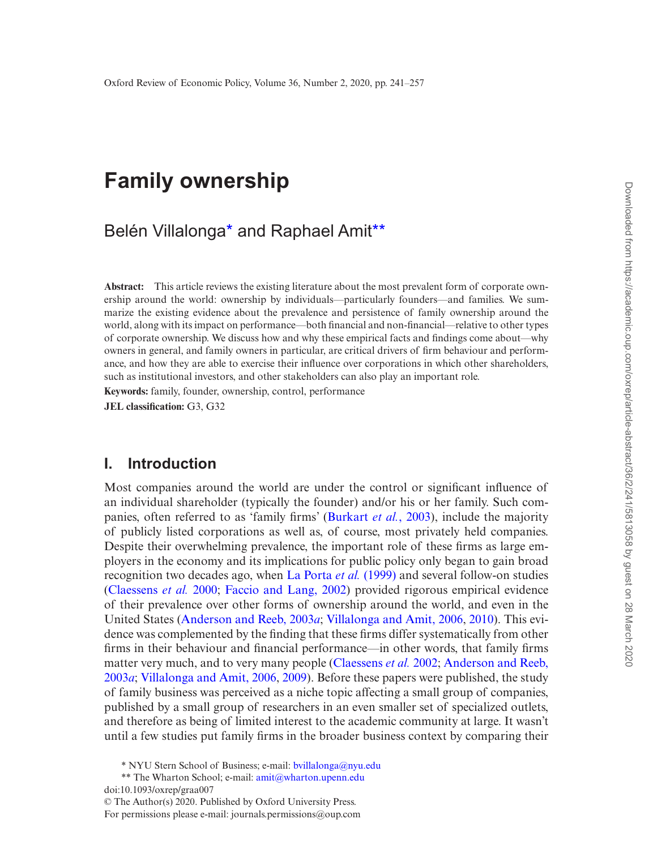# **Family ownership**

## Belén Villalonga[\\*](#page-0-0) and Raphael Ami[t\\*\\*](#page-0-1)

**Abstract:** This article reviews the existing literature about the most prevalent form of corporate ownership around the world: ownership by individuals—particularly founders—and families. We summarize the existing evidence about the prevalence and persistence of family ownership around the world, along with its impact on performance—both financial and non-financial—relative to other types of corporate ownership. We discuss how and why these empirical facts and findings come about—why owners in general, and family owners in particular, are critical drivers of firm behaviour and performance, and how they are able to exercise their influence over corporations in which other shareholders, such as institutional investors, and other stakeholders can also play an important role.

**Keywords:** family, founder, ownership, control, performance **JEL classification:** G3, G32

#### **I. Introduction**

Most companies around the world are under the control or significant influence of an individual shareholder (typically the founder) and/or his or her family. Such companies, often referred to as 'family firms' ([Burkart](#page-13-0) *et al.*, 2003), include the majority of publicly listed corporations as well as, of course, most privately held companies. Despite their overwhelming prevalence, the important role of these firms as large employers in the economy and its implications for public policy only began to gain broad recognition two decades ago, when [La Porta](#page-15-0) *et al.* (1999) and several follow-on studies ([Claessens](#page-13-1) *et al.* 2000; [Faccio and Lang, 2002](#page-14-0)) provided rigorous empirical evidence of their prevalence over other forms of ownership around the world, and even in the United States ([Anderson and Reeb, 2003](#page-13-2)*a*; [Villalonga and Amit, 2006,](#page-16-0) [2010](#page-16-1)). This evidence was complemented by the finding that these firms differ systematically from other firms in their behaviour and financial performance—in other words, that family firms matter very much, and to very many people [\(Claessens](#page-13-3) *et al.* 2002; [Anderson and Reeb,](#page-13-2) [2003](#page-13-2)*a*; [Villalonga and Amit, 2006,](#page-16-0) [2009\)](#page-16-2). Before these papers were published, the study of family business was perceived as a niche topic affecting a small group of companies, published by a small group of researchers in an even smaller set of specialized outlets, and therefore as being of limited interest to the academic community at large. It wasn't until a few studies put family firms in the broader business context by comparing their

<span id="page-0-1"></span><span id="page-0-0"></span><sup>\*</sup> NYU Stern School of Business; e-mail: [bvillalonga@nyu.edu](mailto:bvillalonga@nyu.edu?subject=)

<sup>\*\*</sup> The Wharton School; e-mail: [amit@wharton.upenn.edu](mailto:amit@wharton.upenn.edu?subject=)

doi:10.1093/oxrep/graa007

<sup>©</sup> The Author(s) 2020. Published by Oxford University Press.

For permissions please e-mail: journals.permissions@oup.com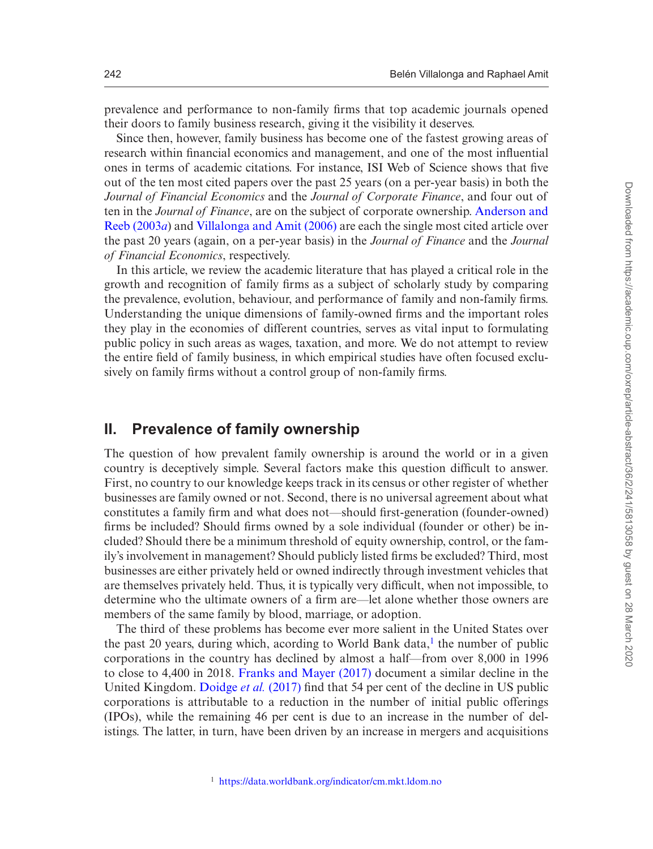prevalence and performance to non-family firms that top academic journals opened their doors to family business research, giving it the visibility it deserves.

Since then, however, family business has become one of the fastest growing areas of research within financial economics and management, and one of the most influential ones in terms of academic citations. For instance, ISI Web of Science shows that five out of the ten most cited papers over the past 25 years (on a per-year basis) in both the *Journal of Financial Economics* and the *Journal of Corporate Finance*, and four out of ten in the *Journal of Finance*, are on the subject of corporate ownership. [Anderson and](#page-13-2) [Reeb \(2003](#page-13-2)*a*) and [Villalonga and Amit \(2006\)](#page-16-0) are each the single most cited article over the past 20 years (again, on a per-year basis) in the *Journal of Finance* and the *Journal of Financial Economics*, respectively.

In this article, we review the academic literature that has played a critical role in the growth and recognition of family firms as a subject of scholarly study by comparing the prevalence, evolution, behaviour, and performance of family and non-family firms. Understanding the unique dimensions of family-owned firms and the important roles they play in the economies of different countries, serves as vital input to formulating public policy in such areas as wages, taxation, and more. We do not attempt to review the entire field of family business, in which empirical studies have often focused exclusively on family firms without a control group of non-family firms.

### **II. Prevalence of family ownership**

The question of how prevalent family ownership is around the world or in a given country is deceptively simple. Several factors make this question difficult to answer. First, no country to our knowledge keeps track in its census or other register of whether businesses are family owned or not. Second, there is no universal agreement about what constitutes a family firm and what does not—should first-generation (founder-owned) firms be included? Should firms owned by a sole individual (founder or other) be included? Should there be a minimum threshold of equity ownership, control, or the family's involvement in management? Should publicly listed firms be excluded? Third, most businesses are either privately held or owned indirectly through investment vehicles that are themselves privately held. Thus, it is typically very difficult, when not impossible, to determine who the ultimate owners of a firm are—let alone whether those owners are members of the same family by blood, marriage, or adoption.

<span id="page-1-0"></span>The third of these problems has become ever more salient in the United States over the past 20 years, during which, acording to World Bank data, $\frac{1}{2}$  $\frac{1}{2}$  $\frac{1}{2}$  the number of public corporations in the country has declined by almost a half—from over 8,000 in 1996 to close to 4,400 in 2018. [Franks and Mayer \(2017\)](#page-14-1) document a similar decline in the United Kingdom. [Doidge](#page-14-2) *et al.* (2017) find that 54 per cent of the decline in US public corporations is attributable to a reduction in the number of initial public offerings (IPOs), while the remaining 46 per cent is due to an increase in the number of delistings. The latter, in turn, have been driven by an increase in mergers and acquisitions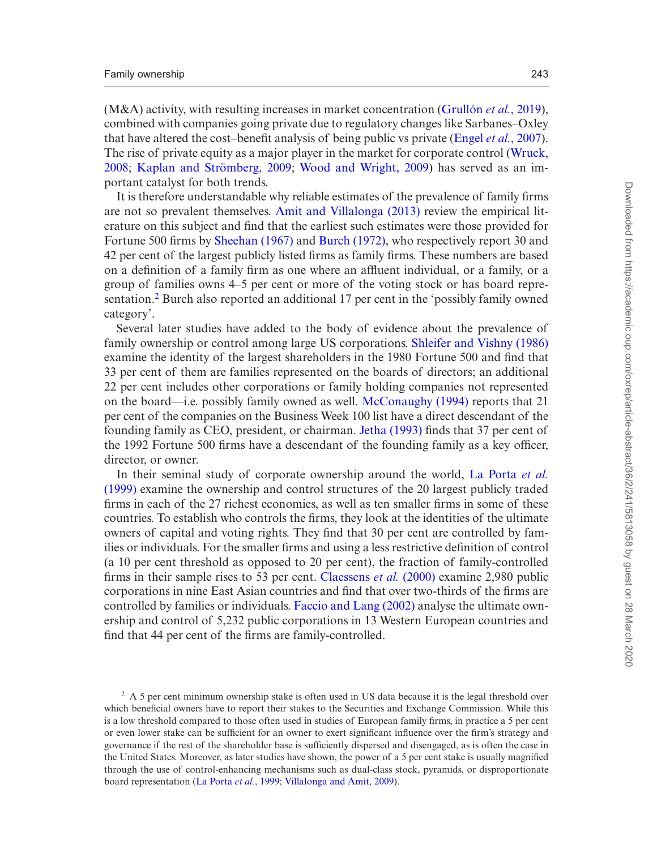(M&A) activity, with resulting increases in market concentration [\(Grullón](#page-15-1) *et al.*, 2019), combined with companies going private due to regulatory changes like Sarbanes–Oxley that have altered the cost–benefit analysis of being public vs private [\(Engel](#page-14-3) *et al.*, 2007). The rise of private equity as a major player in the market for corporate control ([Wruck,](#page-16-3) [2008;](#page-16-3) [Kaplan and Strömberg, 2009](#page-15-2); [Wood and Wright, 2009\)](#page-16-4) has served as an important catalyst for both trends.

It is therefore understandable why reliable estimates of the prevalence of family firms are not so prevalent themselves. [Amit and Villalonga \(2013\)](#page-13-4) review the empirical literature on this subject and find that the earliest such estimates were those provided for Fortune 500 firms by [Sheehan \(1967\)](#page-16-5) and [Burch \(1972\)](#page-13-5), who respectively report 30 and 42 per cent of the largest publicly listed firms as family firms. These numbers are based on a definition of a family firm as one where an affluent individual, or a family, or a group of families owns 4–5 per cent or more of the voting stock or has board representation[.2](#page-2-0) Burch also reported an additional 17 per cent in the 'possibly family owned category'.

Several later studies have added to the body of evidence about the prevalence of family ownership or control among large US corporations. [Shleifer and Vishny \(1986\)](#page-16-6) examine the identity of the largest shareholders in the 1980 Fortune 500 and find that 33 per cent of them are families represented on the boards of directors; an additional 22 per cent includes other corporations or family holding companies not represented on the board—i.e. possibly family owned as well. [McConaughy \(1994\)](#page-15-3) reports that 21 per cent of the companies on the Business Week 100 list have a direct descendant of the founding family as CEO, president, or chairman. [Jetha \(1993\)](#page-15-4) finds that 37 per cent of the 1992 Fortune 500 firms have a descendant of the founding family as a key officer, director, or owner.

In their seminal study of corporate ownership around the world, [La Porta](#page-15-0) *et al.* [\(1999\)](#page-15-0) examine the ownership and control structures of the 20 largest publicly traded firms in each of the 27 richest economies, as well as ten smaller firms in some of these countries. To establish who controls the firms, they look at the identities of the ultimate owners of capital and voting rights. They find that 30 per cent are controlled by families or individuals. For the smaller firms and using a less restrictive definition of control (a 10 per cent threshold as opposed to 20 per cent), the fraction of family-controlled firms in their sample rises to 53 per cent. [Claessens](#page-13-1) *et al.* (2000) examine 2,980 public corporations in nine East Asian countries and find that over two-thirds of the firms are controlled by families or individuals. [Faccio and Lang \(2002\)](#page-14-0) analyse the ultimate ownership and control of 5,232 public corporations in 13 Western European countries and find that 44 per cent of the firms are family-controlled.

<span id="page-2-0"></span><sup>&</sup>lt;sup>2</sup> A 5 per cent minimum ownership stake is often used in US data because it is the legal threshold over which beneficial owners have to report their stakes to the Securities and Exchange Commission. While this is a low threshold compared to those often used in studies of European family firms, in practice a 5 per cent or even lower stake can be sufficient for an owner to exert significant influence over the firm's strategy and governance if the rest of the shareholder base is sufficiently dispersed and disengaged, as is often the case in the United States. Moreover, as later studies have shown, the power of a 5 per cent stake is usually magnified through the use of control-enhancing mechanisms such as dual-class stock, pyramids, or disproportionate board representation ([La Porta](#page-15-0) *et al.*, 1999; [Villalonga and Amit, 2009](#page-16-2)).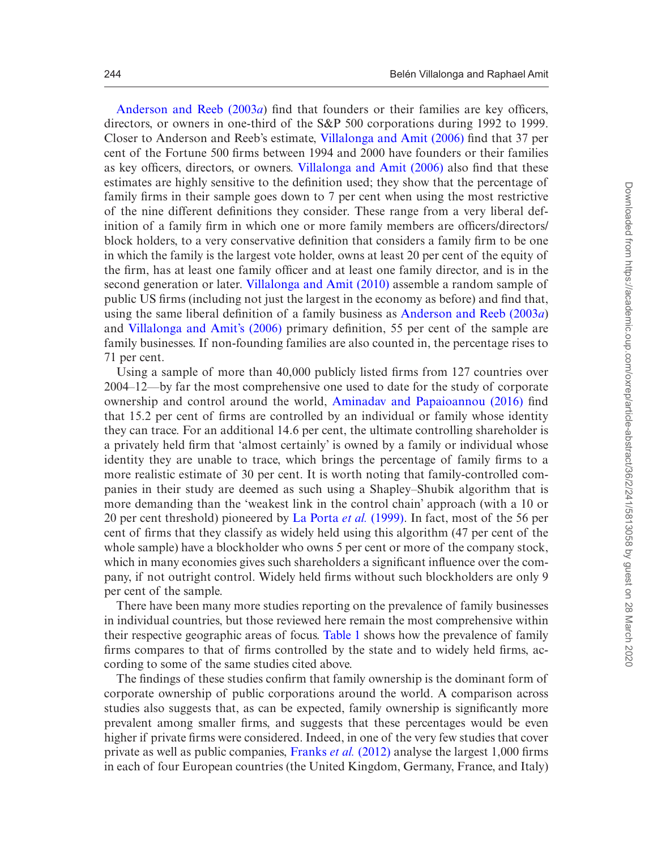[Anderson and Reeb \(2003](#page-13-2)*a*) find that founders or their families are key officers, directors, or owners in one-third of the S&P 500 corporations during 1992 to 1999. Closer to Anderson and Reeb's estimate, [Villalonga and Amit \(2006\)](#page-16-0) find that 37 per cent of the Fortune 500 firms between 1994 and 2000 have founders or their families as key officers, directors, or owners. [Villalonga and Amit \(2006\)](#page-16-0) also find that these estimates are highly sensitive to the definition used; they show that the percentage of family firms in their sample goes down to 7 per cent when using the most restrictive of the nine different definitions they consider. These range from a very liberal definition of a family firm in which one or more family members are officers/directors/ block holders, to a very conservative definition that considers a family firm to be one in which the family is the largest vote holder, owns at least 20 per cent of the equity of the firm, has at least one family officer and at least one family director, and is in the second generation or later. [Villalonga and Amit \(2010\)](#page-16-1) assemble a random sample of public US firms (including not just the largest in the economy as before) and find that, using the same liberal definition of a family business as [Anderson and Reeb \(2003](#page-13-2)*a*) and [Villalonga and Amit's \(2006\)](#page-16-0) primary definition, 55 per cent of the sample are family businesses. If non-founding families are also counted in, the percentage rises to 71 per cent.

Using a sample of more than 40,000 publicly listed firms from 127 countries over 2004–12—by far the most comprehensive one used to date for the study of corporate ownership and control around the world, [Aminadav and Papaioannou \(2016\)](#page-13-6) find that 15.2 per cent of firms are controlled by an individual or family whose identity they can trace. For an additional 14.6 per cent, the ultimate controlling shareholder is a privately held firm that 'almost certainly' is owned by a family or individual whose identity they are unable to trace, which brings the percentage of family firms to a more realistic estimate of 30 per cent. It is worth noting that family-controlled companies in their study are deemed as such using a Shapley–Shubik algorithm that is more demanding than the 'weakest link in the control chain' approach (with a 10 or 20 per cent threshold) pioneered by [La Porta](#page-15-0) *et al.* (1999). In fact, most of the 56 per cent of firms that they classify as widely held using this algorithm (47 per cent of the whole sample) have a blockholder who owns 5 per cent or more of the company stock, which in many economies gives such shareholders a significant influence over the company, if not outright control. Widely held firms without such blockholders are only 9 per cent of the sample.

There have been many more studies reporting on the prevalence of family businesses in individual countries, but those reviewed here remain the most comprehensive within their respective geographic areas of focus. [Table 1](#page-4-0) shows how the prevalence of family firms compares to that of firms controlled by the state and to widely held firms, according to some of the same studies cited above.

The findings of these studies confirm that family ownership is the dominant form of corporate ownership of public corporations around the world. A comparison across studies also suggests that, as can be expected, family ownership is significantly more prevalent among smaller firms, and suggests that these percentages would be even higher if private firms were considered. Indeed, in one of the very few studies that cover private as well as public companies, [Franks](#page-14-4) *et al.* (2012) analyse the largest 1,000 firms in each of four European countries (the United Kingdom, Germany, France, and Italy)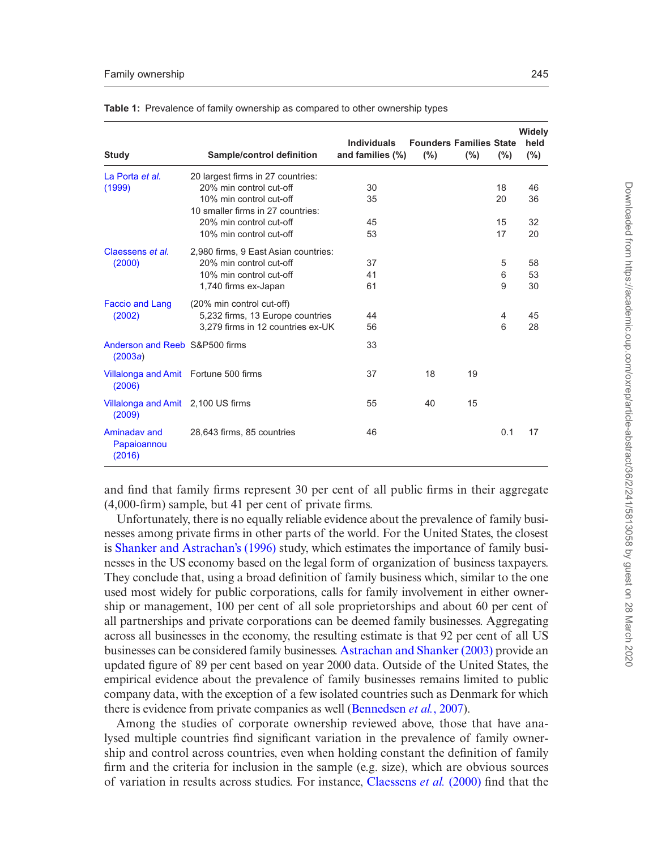| Study                                           | Sample/control definition                                    | <b>Individuals</b><br>and families (%) | <b>Founders Families State</b><br>$(\% )$ | $(\% )$ | $(\% )$ | Widely<br>held<br>$(\% )$ |
|-------------------------------------------------|--------------------------------------------------------------|----------------------------------------|-------------------------------------------|---------|---------|---------------------------|
| La Porta et al.                                 | 20 largest firms in 27 countries:                            |                                        |                                           |         |         |                           |
| (1999)                                          | 20% min control cut-off                                      | 30                                     |                                           |         | 18      | 46                        |
|                                                 | 10% min control cut-off<br>10 smaller firms in 27 countries: | 35                                     |                                           |         | 20      | 36                        |
|                                                 | 20% min control cut-off                                      | 45                                     |                                           |         | 15      | 32                        |
|                                                 | 10% min control cut-off                                      | 53                                     |                                           |         | 17      | 20                        |
| Claessens et al.<br>(2000)                      | 2,980 firms, 9 East Asian countries:                         |                                        |                                           |         |         |                           |
|                                                 | 20% min control cut-off                                      | 37                                     |                                           |         | 5       | 58                        |
|                                                 | 10% min control cut-off                                      | 41                                     |                                           |         | 6       | 53                        |
|                                                 | 1,740 firms ex-Japan                                         | 61                                     |                                           |         | 9       | 30                        |
| <b>Faccio and Lang</b><br>(2002)                | (20% min control cut-off)                                    |                                        |                                           |         |         |                           |
|                                                 | 5,232 firms, 13 Europe countries                             | 44                                     |                                           |         | 4       | 45                        |
|                                                 | 3,279 firms in 12 countries ex-UK                            | 56                                     |                                           |         | 6       | 28                        |
| Anderson and Reeb S&P500 firms<br>(2003a)       |                                                              | 33                                     |                                           |         |         |                           |
| Villalonga and Amit Fortune 500 firms<br>(2006) |                                                              | 37                                     | 18                                        | 19      |         |                           |
| Villalonga and Amit 2,100 US firms<br>(2009)    |                                                              | 55                                     | 40                                        | 15      |         |                           |
| Aminaday and<br>Papaioannou<br>(2016)           | 28,643 firms, 85 countries                                   | 46                                     |                                           |         | 0.1     | 17                        |

<span id="page-4-0"></span>**Table 1:** Prevalence of family ownership as compared to other ownership types

and find that family firms represent 30 per cent of all public firms in their aggregate (4,000-firm) sample, but 41 per cent of private firms.

Unfortunately, there is no equally reliable evidence about the prevalence of family businesses among private firms in other parts of the world. For the United States, the closest is [Shanker and Astrachan's \(1996\)](#page-16-7) study, which estimates the importance of family businesses in the US economy based on the legal form of organization of business taxpayers. They conclude that, using a broad definition of family business which, similar to the one used most widely for public corporations, calls for family involvement in either ownership or management, 100 per cent of all sole proprietorships and about 60 per cent of all partnerships and private corporations can be deemed family businesses. Aggregating across all businesses in the economy, the resulting estimate is that 92 per cent of all US businesses can be considered family businesses. [Astrachan and Shanker \(2003\)](#page-13-7) provide an updated figure of 89 per cent based on year 2000 data. Outside of the United States, the empirical evidence about the prevalence of family businesses remains limited to public company data, with the exception of a few isolated countries such as Denmark for which there is evidence from private companies as well [\(Bennedsen](#page-13-8) *et al.*, 2007).

Among the studies of corporate ownership reviewed above, those that have analysed multiple countries find significant variation in the prevalence of family ownership and control across countries, even when holding constant the definition of family firm and the criteria for inclusion in the sample (e.g. size), which are obvious sources of variation in results across studies. For instance, [Claessens](#page-13-1) *et al.* (2000) find that the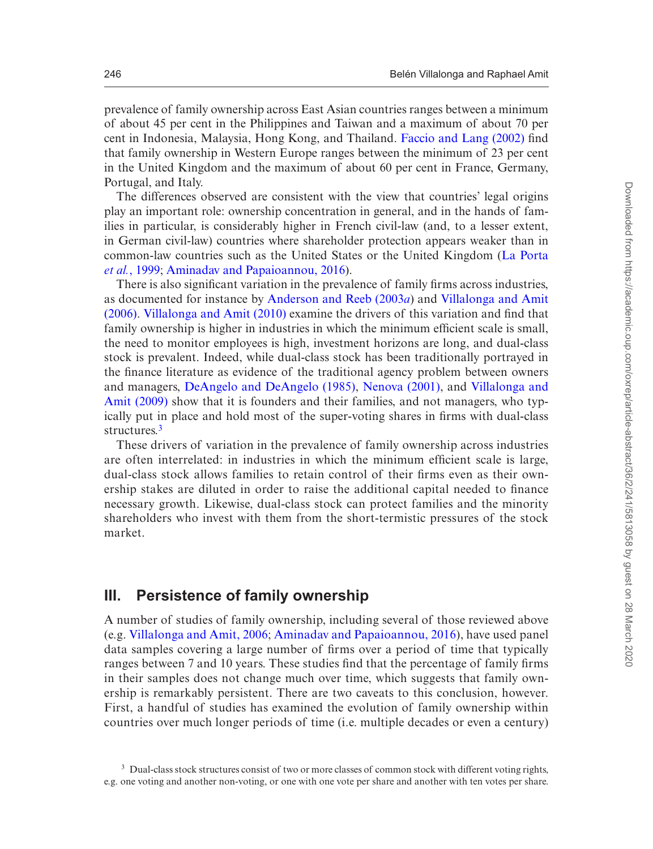prevalence of family ownership across East Asian countries ranges between a minimum of about 45 per cent in the Philippines and Taiwan and a maximum of about 70 per cent in Indonesia, Malaysia, Hong Kong, and Thailand. [Faccio and Lang \(2002\)](#page-14-0) find that family ownership in Western Europe ranges between the minimum of 23 per cent in the United Kingdom and the maximum of about 60 per cent in France, Germany, Portugal, and Italy.

The differences observed are consistent with the view that countries' legal origins play an important role: ownership concentration in general, and in the hands of families in particular, is considerably higher in French civil-law (and, to a lesser extent, in German civil-law) countries where shareholder protection appears weaker than in common-law countries such as the United States or the United Kingdom ([La Porta](#page-15-0) *et al.*[, 1999](#page-15-0); [Aminadav and Papaioannou, 2016](#page-13-6)).

There is also significant variation in the prevalence of family firms across industries, as documented for instance by [Anderson and Reeb \(2003](#page-13-2)*a*) and [Villalonga and Amit](#page-16-0) [\(2006\)](#page-16-0). [Villalonga and Amit \(2010\)](#page-16-1) examine the drivers of this variation and find that family ownership is higher in industries in which the minimum efficient scale is small, the need to monitor employees is high, investment horizons are long, and dual-class stock is prevalent. Indeed, while dual-class stock has been traditionally portrayed in the finance literature as evidence of the traditional agency problem between owners and managers, [DeAngelo and DeAngelo \(1985\),](#page-14-5) [Nenova \(2001\)](#page-15-5), and [Villalonga and](#page-16-2) [Amit \(2009\)](#page-16-2) show that it is founders and their families, and not managers, who typically put in place and hold most of the super-voting shares in firms with dual-class structures.<sup>[3](#page-5-0)</sup>

These drivers of variation in the prevalence of family ownership across industries are often interrelated: in industries in which the minimum efficient scale is large, dual-class stock allows families to retain control of their firms even as their ownership stakes are diluted in order to raise the additional capital needed to finance necessary growth. Likewise, dual-class stock can protect families and the minority shareholders who invest with them from the short-termistic pressures of the stock market.

#### **III. Persistence of family ownership**

A number of studies of family ownership, including several of those reviewed above (e.g. [Villalonga and Amit, 2006;](#page-16-0) [Aminadav and Papaioannou, 2016](#page-13-6)), have used panel data samples covering a large number of firms over a period of time that typically ranges between 7 and 10 years. These studies find that the percentage of family firms in their samples does not change much over time, which suggests that family ownership is remarkably persistent. There are two caveats to this conclusion, however. First, a handful of studies has examined the evolution of family ownership within countries over much longer periods of time (i.e. multiple decades or even a century)

<span id="page-5-0"></span><sup>&</sup>lt;sup>3</sup> Dual-class stock structures consist of two or more classes of common stock with different voting rights, e.g. one voting and another non-voting, or one with one vote per share and another with ten votes per share.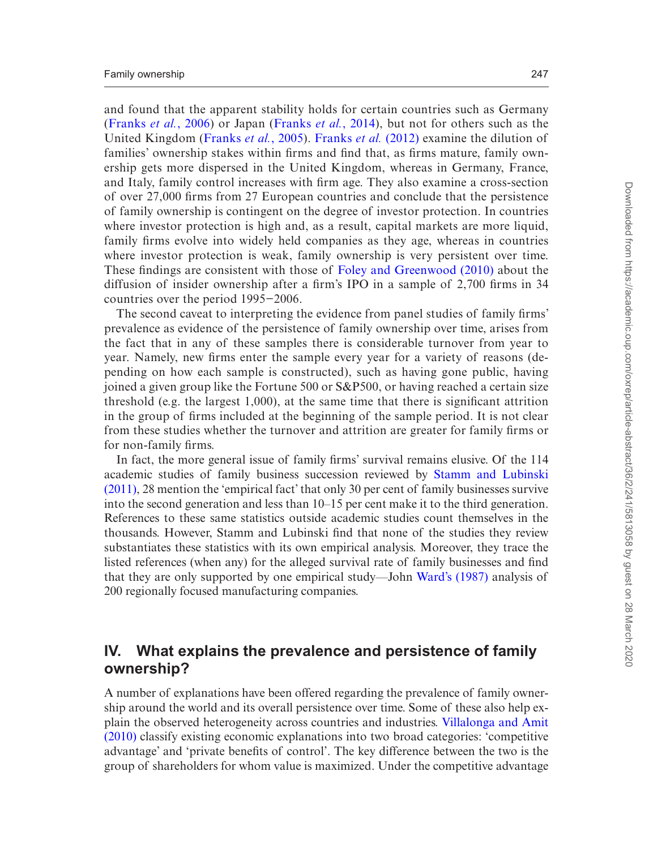and found that the apparent stability holds for certain countries such as Germany ([Franks](#page-14-6) *et al.*, 2006) or Japan ([Franks](#page-14-7) *et al.*, 2014), but not for others such as the United Kingdom ([Franks](#page-14-8) *et al.*, 2005). [Franks](#page-14-4) *et al.* (2012) examine the dilution of families' ownership stakes within firms and find that, as firms mature, family ownership gets more dispersed in the United Kingdom, whereas in Germany, France, and Italy, family control increases with firm age. They also examine a cross-section of over 27,000 firms from 27 European countries and conclude that the persistence of family ownership is contingent on the degree of investor protection. In countries where investor protection is high and, as a result, capital markets are more liquid, family firms evolve into widely held companies as they age, whereas in countries where investor protection is weak, family ownership is very persistent over time. These findings are consistent with those of [Foley and Greenwood \(2010\)](#page-14-9) about the diffusion of insider ownership after a firm's IPO in a sample of 2,700 firms in 34 countries over the period 1995−2006.

The second caveat to interpreting the evidence from panel studies of family firms' prevalence as evidence of the persistence of family ownership over time, arises from the fact that in any of these samples there is considerable turnover from year to year. Namely, new firms enter the sample every year for a variety of reasons (depending on how each sample is constructed), such as having gone public, having joined a given group like the Fortune 500 or S&P500, or having reached a certain size threshold (e.g. the largest 1,000), at the same time that there is significant attrition in the group of firms included at the beginning of the sample period. It is not clear from these studies whether the turnover and attrition are greater for family firms or for non-family firms.

In fact, the more general issue of family firms' survival remains elusive. Of the 114 academic studies of family business succession reviewed by [Stamm and Lubinski](#page-16-8) [\(2011\)](#page-16-8), 28 mention the 'empirical fact' that only 30 per cent of family businesses survive into the second generation and less than 10–15 per cent make it to the third generation. References to these same statistics outside academic studies count themselves in the thousands. However, Stamm and Lubinski find that none of the studies they review substantiates these statistics with its own empirical analysis. Moreover, they trace the listed references (when any) for the alleged survival rate of family businesses and find that they are only supported by one empirical study—John [Ward's \(1987\)](#page-16-9) analysis of 200 regionally focused manufacturing companies.

## **IV. What explains the prevalence and persistence of family ownership?**

A number of explanations have been offered regarding the prevalence of family ownership around the world and its overall persistence over time. Some of these also help explain the observed heterogeneity across countries and industries. [Villalonga and Amit](#page-16-1) [\(2010\)](#page-16-1) classify existing economic explanations into two broad categories: 'competitive advantage' and 'private benefits of control'. The key difference between the two is the group of shareholders for whom value is maximized. Under the competitive advantage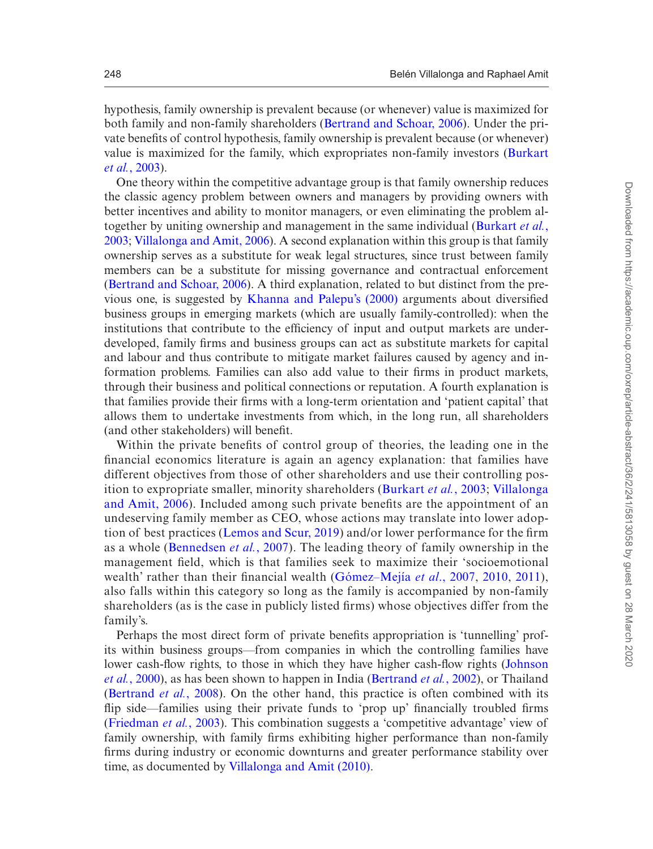hypothesis, family ownership is prevalent because (or whenever) value is maximized for both family and non-family shareholders ([Bertrand and Schoar, 2006\)](#page-13-9). Under the private benefits of control hypothesis, family ownership is prevalent because (or whenever) value is maximized for the family, which expropriates non-family investors ([Burkart](#page-13-0) *et al.*[, 2003](#page-13-0)).

One theory within the competitive advantage group is that family ownership reduces the classic agency problem between owners and managers by providing owners with better incentives and ability to monitor managers, or even eliminating the problem altogether by uniting ownership and management in the same individual ([Burkart](#page-13-0) *et al.*, [2003;](#page-13-0) [Villalonga and Amit, 2006](#page-16-0)). A second explanation within this group is that family ownership serves as a substitute for weak legal structures, since trust between family members can be a substitute for missing governance and contractual enforcement ([Bertrand and Schoar, 2006\)](#page-13-9). A third explanation, related to but distinct from the previous one, is suggested by [Khanna and Palepu's \(2000\)](#page-15-6) arguments about diversified business groups in emerging markets (which are usually family-controlled): when the institutions that contribute to the efficiency of input and output markets are underdeveloped, family firms and business groups can act as substitute markets for capital and labour and thus contribute to mitigate market failures caused by agency and information problems. Families can also add value to their firms in product markets, through their business and political connections or reputation. A fourth explanation is that families provide their firms with a long-term orientation and 'patient capital' that allows them to undertake investments from which, in the long run, all shareholders (and other stakeholders) will benefit.

Within the private benefits of control group of theories, the leading one in the financial economics literature is again an agency explanation: that families have different objectives from those of other shareholders and use their controlling position to expropriate smaller, minority shareholders ([Burkart](#page-13-0) *et al.*, 2003; [Villalonga](#page-16-0) [and Amit, 2006\)](#page-16-0). Included among such private benefits are the appointment of an undeserving family member as CEO, whose actions may translate into lower adoption of best practices ([Lemos and Scur, 2019\)](#page-15-7) and/or lower performance for the firm as a whole ([Bennedsen](#page-13-8) *et al.*, 2007). The leading theory of family ownership in the management field, which is that families seek to maximize their 'socioemotional wealth' rather than their financial wealth ([Gómez–Mejía](#page-14-10) *et al*., 2007, [2010](#page-14-11), [2011\)](#page-14-12), also falls within this category so long as the family is accompanied by non-family shareholders (as is the case in publicly listed firms) whose objectives differ from the family's.

Perhaps the most direct form of private benefits appropriation is 'tunnelling' profits within business groups—from companies in which the controlling families have lower cash-flow rights, to those in which they have higher cash-flow rights ([Johnson](#page-15-8) *et al.*[, 2000](#page-15-8)), as has been shown to happen in India ([Bertrand](#page-13-10) *et al.*, 2002), or Thailand ([Bertrand](#page-13-11) *et al.*, 2008). On the other hand, this practice is often combined with its flip side—families using their private funds to 'prop up' financially troubled firms ([Friedman](#page-14-13) *et al.*, 2003). This combination suggests a 'competitive advantage' view of family ownership, with family firms exhibiting higher performance than non-family firms during industry or economic downturns and greater performance stability over time, as documented by [Villalonga and Amit \(2010\).](#page-16-1)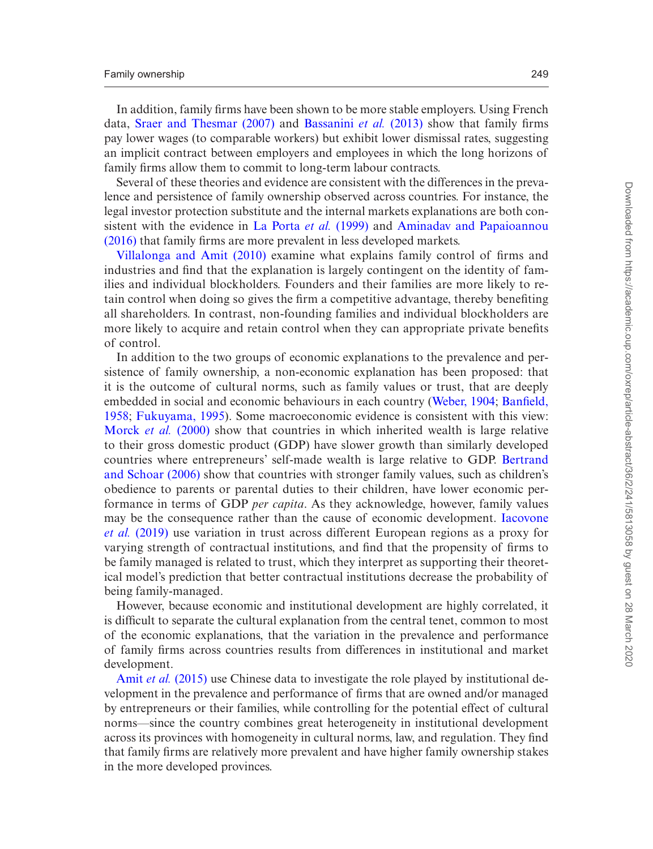In addition, family firms have been shown to be more stable employers. Using French data, [Sraer and Thesmar \(2007\)](#page-16-10) and [Bassanini](#page-13-12) *et al.* (2013) show that family firms pay lower wages (to comparable workers) but exhibit lower dismissal rates, suggesting an implicit contract between employers and employees in which the long horizons of family firms allow them to commit to long-term labour contracts.

Several of these theories and evidence are consistent with the differences in the prevalence and persistence of family ownership observed across countries. For instance, the legal investor protection substitute and the internal markets explanations are both consistent with the evidence in [La Porta](#page-15-0) *et al.* (1999) and [Aminadav and Papaioannou](#page-13-6) [\(2016\)](#page-13-6) that family firms are more prevalent in less developed markets.

[Villalonga and Amit \(2010\)](#page-16-1) examine what explains family control of firms and industries and find that the explanation is largely contingent on the identity of families and individual blockholders. Founders and their families are more likely to retain control when doing so gives the firm a competitive advantage, thereby benefiting all shareholders. In contrast, non-founding families and individual blockholders are more likely to acquire and retain control when they can appropriate private benefits of control.

In addition to the two groups of economic explanations to the prevalence and persistence of family ownership, a non-economic explanation has been proposed: that it is the outcome of cultural norms, such as family values or trust, that are deeply embedded in social and economic behaviours in each country ([Weber, 1904](#page-16-11); [Banfield,](#page-13-13) [1958;](#page-13-13) [Fukuyama, 1995](#page-14-14)). Some macroeconomic evidence is consistent with this view: [Morck](#page-15-9) *et al.* (2000) show that countries in which inherited wealth is large relative to their gross domestic product (GDP) have slower growth than similarly developed countries where entrepreneurs' self-made wealth is large relative to GDP. [Bertrand](#page-13-9) [and Schoar \(2006\)](#page-13-9) show that countries with stronger family values, such as children's obedience to parents or parental duties to their children, have lower economic performance in terms of GDP *per capita*. As they acknowledge, however, family values may be the consequence rather than the cause of economic development. [Iacovone](#page-15-10) *et al.* [\(2019\)](#page-15-10) use variation in trust across different European regions as a proxy for varying strength of contractual institutions, and find that the propensity of firms to be family managed is related to trust, which they interpret as supporting their theoretical model's prediction that better contractual institutions decrease the probability of being family-managed.

However, because economic and institutional development are highly correlated, it is difficult to separate the cultural explanation from the central tenet, common to most of the economic explanations, that the variation in the prevalence and performance of family firms across countries results from differences in institutional and market development.

Amit *et al.* [\(2015\)](#page-13-14) use Chinese data to investigate the role played by institutional development in the prevalence and performance of firms that are owned and/or managed by entrepreneurs or their families, while controlling for the potential effect of cultural norms—since the country combines great heterogeneity in institutional development across its provinces with homogeneity in cultural norms, law, and regulation. They find that family firms are relatively more prevalent and have higher family ownership stakes in the more developed provinces.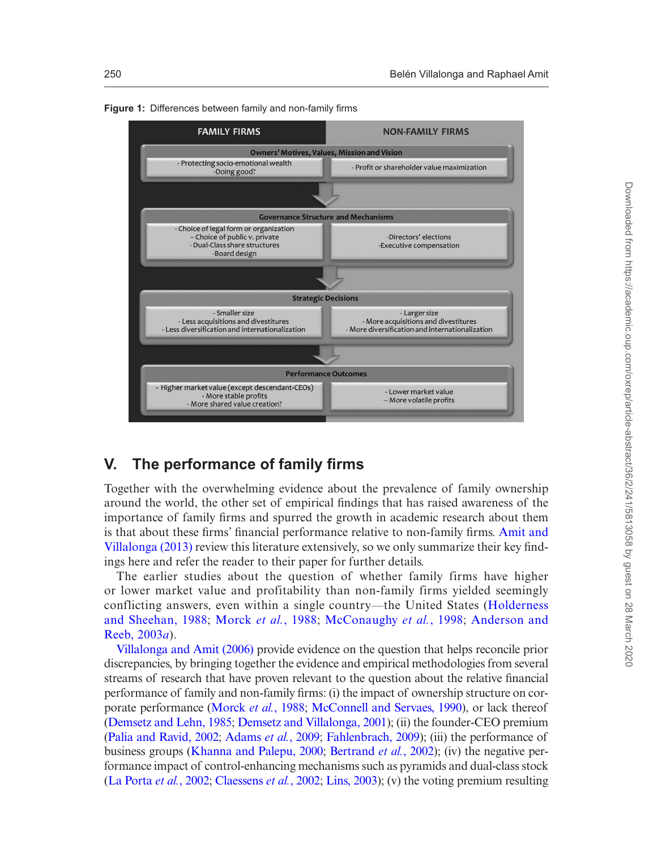

<span id="page-9-0"></span>**Figure 1:** Differences between family and non-family firms

#### **V. The performance of family firms**

Together with the overwhelming evidence about the prevalence of family ownership around the world, the other set of empirical findings that has raised awareness of the importance of family firms and spurred the growth in academic research about them is that about these firms' financial performance relative to non-family firms. [Amit and](#page-13-4) [Villalonga \(2013\)](#page-13-4) review this literature extensively, so we only summarize their key findings here and refer the reader to their paper for further details.

The earlier studies about the question of whether family firms have higher or lower market value and profitability than non-family firms yielded seemingly conflicting answers, even within a single country—the United States ([Holderness](#page-15-11) [and Sheehan, 1988](#page-15-11); [Morck](#page-15-12) *et al.*, 1988; [McConaughy](#page-15-13) *et al.*, 1998; [Anderson and](#page-13-2) [Reeb, 2003](#page-13-2)*a*).

[Villalonga and Amit \(2006\)](#page-16-0) provide evidence on the question that helps reconcile prior discrepancies, by bringing together the evidence and empirical methodologies from several streams of research that have proven relevant to the question about the relative financial performance of family and non-family firms: (i) the impact of ownership structure on corporate performance [\(Morck](#page-15-12) *et al.*, 1988; [McConnell and Servaes, 1990](#page-15-14)), or lack thereof ([Demsetz and Lehn, 1985](#page-14-15); [Demsetz and Villalonga, 2001](#page-14-16)); (ii) the founder-CEO premium ([Palia and Ravid, 2002](#page-15-15); [Adams](#page-12-0) *et al.*, 2009; [Fahlenbrach, 2009](#page-14-17)); (iii) the performance of business groups ([Khanna and Palepu, 2000](#page-15-6); [Bertrand](#page-13-10) *et al.*, 2002); (iv) the negative performance impact of control-enhancing mechanisms such as pyramids and dual-class stock ([La Porta](#page-15-16) *et al.*, 2002; [Claessens](#page-13-3) *et al.*, 2002; [Lins, 2003\)](#page-15-17); (v) the voting premium resulting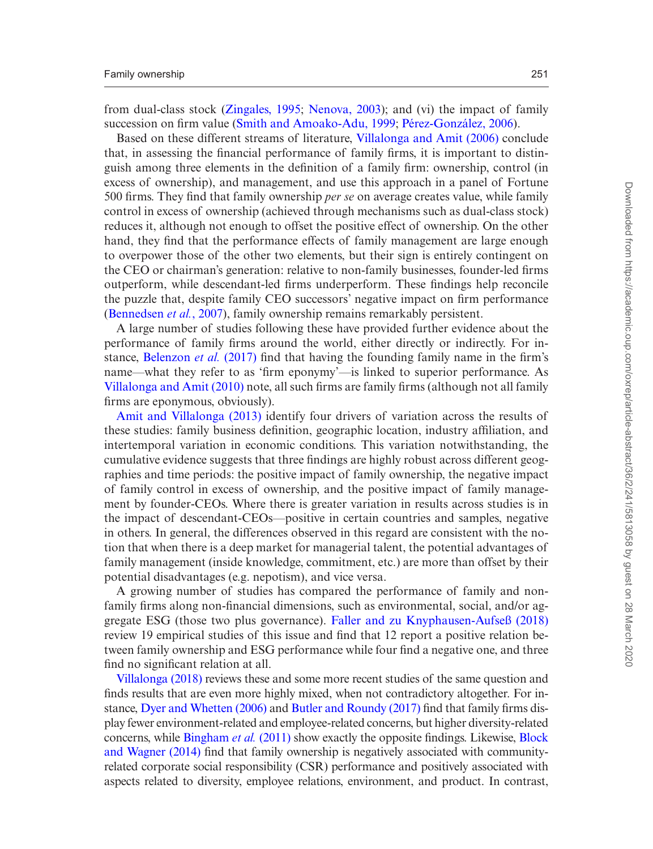from dual-class stock ([Zingales, 1995;](#page-16-12) [Nenova, 2003\)](#page-15-18); and (vi) the impact of family succession on firm value [\(Smith and Amoako-Adu, 1999;](#page-16-13) [Pérez-González, 2006](#page-15-19)).

Based on these different streams of literature, [Villalonga and Amit \(2006\)](#page-16-0) conclude that, in assessing the financial performance of family firms, it is important to distinguish among three elements in the definition of a family firm: ownership, control (in excess of ownership), and management, and use this approach in a panel of Fortune 500 firms. They find that family ownership *per se* on average creates value, while family control in excess of ownership (achieved through mechanisms such as dual-class stock) reduces it, although not enough to offset the positive effect of ownership. On the other hand, they find that the performance effects of family management are large enough to overpower those of the other two elements, but their sign is entirely contingent on the CEO or chairman's generation: relative to non-family businesses, founder-led firms outperform, while descendant-led firms underperform. These findings help reconcile the puzzle that, despite family CEO successors' negative impact on firm performance ([Bennedsen](#page-13-8) *et al.*, 2007), family ownership remains remarkably persistent.

A large number of studies following these have provided further evidence about the performance of family firms around the world, either directly or indirectly. For instance, [Belenzon](#page-13-15) *et al.* (2017) find that having the founding family name in the firm's name—what they refer to as 'firm eponymy'—is linked to superior performance. As [Villalonga and Amit \(2010\)](#page-16-1) note, all such firms are family firms (although not all family firms are eponymous, obviously).

[Amit and Villalonga \(2013\)](#page-13-4) identify four drivers of variation across the results of these studies: family business definition, geographic location, industry affiliation, and intertemporal variation in economic conditions. This variation notwithstanding, the cumulative evidence suggests that three findings are highly robust across different geographies and time periods: the positive impact of family ownership, the negative impact of family control in excess of ownership, and the positive impact of family management by founder-CEOs. Where there is greater variation in results across studies is in the impact of descendant-CEOs—positive in certain countries and samples, negative in others. In general, the differences observed in this regard are consistent with the notion that when there is a deep market for managerial talent, the potential advantages of family management (inside knowledge, commitment, etc.) are more than offset by their potential disadvantages (e.g. nepotism), and vice versa.

A growing number of studies has compared the performance of family and nonfamily firms along non-financial dimensions, such as environmental, social, and/or aggregate ESG (those two plus governance). [Faller and zu Knyphausen-Aufseß \(2018\)](#page-14-18) review 19 empirical studies of this issue and find that 12 report a positive relation between family ownership and ESG performance while four find a negative one, and three find no significant relation at all.

[Villalonga \(2018\)](#page-16-14) reviews these and some more recent studies of the same question and finds results that are even more highly mixed, when not contradictory altogether. For instance, [Dyer and Whetten \(2006\)](#page-14-19) and [Butler and Roundy \(2017\)](#page-13-16) find that family firms display fewer environment-related and employee-related concerns, but higher diversity-related concerns, while [Bingham](#page-13-17) *et al.* (2011) show exactly the opposite findings. Likewise, [Block](#page-13-18) [and Wagner \(2014\)](#page-13-18) find that family ownership is negatively associated with communityrelated corporate social responsibility (CSR) performance and positively associated with aspects related to diversity, employee relations, environment, and product. In contrast,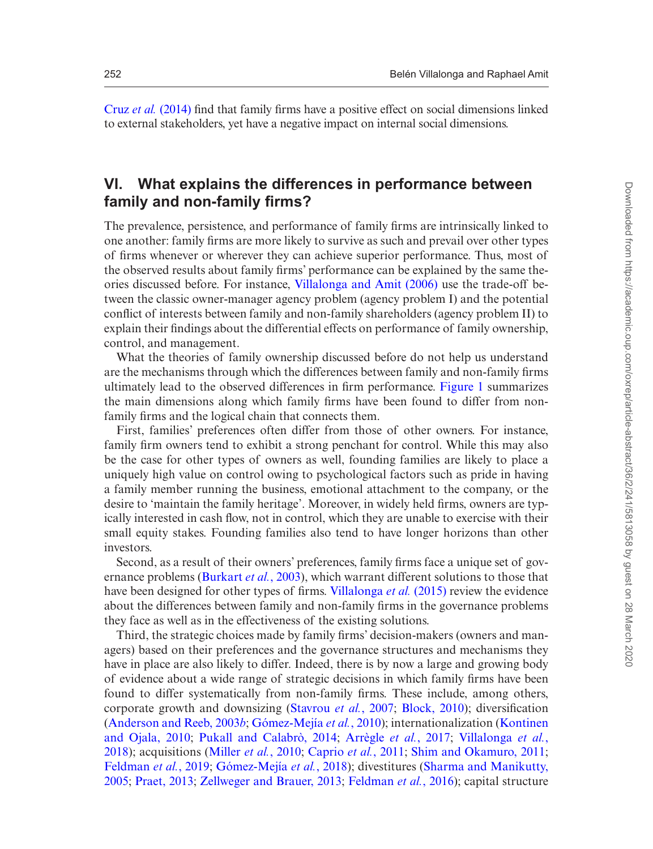Cruz *et al.* [\(2014\)](#page-13-19) find that family firms have a positive effect on social dimensions linked to external stakeholders, yet have a negative impact on internal social dimensions.

## **VI. What explains the differences in performance between family and non-family firms?**

The prevalence, persistence, and performance of family firms are intrinsically linked to one another: family firms are more likely to survive as such and prevail over other types of firms whenever or wherever they can achieve superior performance. Thus, most of the observed results about family firms' performance can be explained by the same theories discussed before. For instance, [Villalonga and Amit \(2006\)](#page-16-0) use the trade-off between the classic owner-manager agency problem (agency problem I) and the potential conflict of interests between family and non-family shareholders (agency problem II) to explain their findings about the differential effects on performance of family ownership, control, and management.

What the theories of family ownership discussed before do not help us understand are the mechanisms through which the differences between family and non-family firms ultimately lead to the observed differences in firm performance. [Figure 1](#page-9-0) summarizes the main dimensions along which family firms have been found to differ from nonfamily firms and the logical chain that connects them.

First, families' preferences often differ from those of other owners. For instance, family firm owners tend to exhibit a strong penchant for control. While this may also be the case for other types of owners as well, founding families are likely to place a uniquely high value on control owing to psychological factors such as pride in having a family member running the business, emotional attachment to the company, or the desire to 'maintain the family heritage'. Moreover, in widely held firms, owners are typically interested in cash flow, not in control, which they are unable to exercise with their small equity stakes. Founding families also tend to have longer horizons than other investors.

Second, as a result of their owners' preferences, family firms face a unique set of governance problems ([Burkart](#page-13-0) *et al.*, 2003), which warrant different solutions to those that have been designed for other types of firms. [Villalonga](#page-16-15) *et al.* (2015) review the evidence about the differences between family and non-family firms in the governance problems they face as well as in the effectiveness of the existing solutions.

Third, the strategic choices made by family firms' decision-makers (owners and managers) based on their preferences and the governance structures and mechanisms they have in place are also likely to differ. Indeed, there is by now a large and growing body of evidence about a wide range of strategic decisions in which family firms have been found to differ systematically from non-family firms. These include, among others, corporate growth and downsizing [\(Stavrou](#page-16-16) *et al.*, 2007; [Block, 2010\)](#page-13-20); diversification ([Anderson and Reeb, 2003](#page-13-21)*b*; [Gómez-Mejía](#page-14-11) *et al.*, 2010); internationalization [\(Kontinen](#page-15-20) [and Ojala, 2010](#page-15-20); [Pukall and Calabrò, 2014;](#page-15-21) [Arrègle](#page-13-22) *et al.*, 2017; [Villalonga](#page-16-14) *et al.*, [2018\)](#page-16-14); acquisitions [\(Miller](#page-15-22) *et al.*, 2010; [Caprio](#page-13-23) *et al.*, 2011; [Shim and Okamuro, 2011](#page-16-17); [Feldman](#page-14-20) *et al.*, 2019; [Gómez-Mejía](#page-14-21) *et al.*, 2018); divestitures ([Sharma and Manikutty,](#page-16-18) [2005;](#page-16-18) [Praet, 2013;](#page-15-23) [Zellweger and Brauer, 2013](#page-16-19); [Feldman](#page-14-22) *et al.*, 2016); capital structure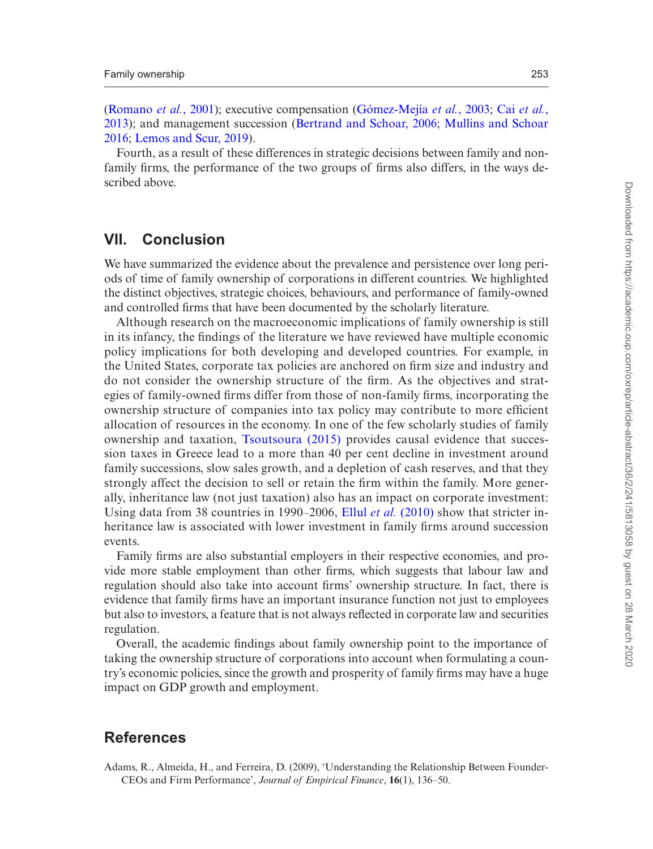([Romano](#page-16-20) *et al.*, 2001); executive compensation ([Gómez-Mejía](#page-14-23) *et al.*, 2003; Cai *[et al.](#page-13-24)*, [2013\)](#page-13-24); and management succession ([Bertrand and Schoar, 2006;](#page-13-9) [Mullins and Schoar](#page-15-24) [2016;](#page-15-24) [Lemos and Scur, 2019\)](#page-15-7).

Fourth, as a result of these differences in strategic decisions between family and nonfamily firms, the performance of the two groups of firms also differs, in the ways described above.

#### **VII. Conclusion**

We have summarized the evidence about the prevalence and persistence over long periods of time of family ownership of corporations in different countries. We highlighted the distinct objectives, strategic choices, behaviours, and performance of family-owned and controlled firms that have been documented by the scholarly literature.

Although research on the macroeconomic implications of family ownership is still in its infancy, the findings of the literature we have reviewed have multiple economic policy implications for both developing and developed countries. For example, in the United States, corporate tax policies are anchored on firm size and industry and do not consider the ownership structure of the firm. As the objectives and strategies of family-owned firms differ from those of non-family firms, incorporating the ownership structure of companies into tax policy may contribute to more efficient allocation of resources in the economy. In one of the few scholarly studies of family ownership and taxation, [Tsoutsoura \(2015\)](#page-16-21) provides causal evidence that succession taxes in Greece lead to a more than 40 per cent decline in investment around family successions, slow sales growth, and a depletion of cash reserves, and that they strongly affect the decision to sell or retain the firm within the family. More generally, inheritance law (not just taxation) also has an impact on corporate investment: Using data from 38 countries in 1990–2006, Ellul *et al.* [\(2010\)](#page-14-24) show that stricter inheritance law is associated with lower investment in family firms around succession events.

Family firms are also substantial employers in their respective economies, and provide more stable employment than other firms, which suggests that labour law and regulation should also take into account firms' ownership structure. In fact, there is evidence that family firms have an important insurance function not just to employees but also to investors, a feature that is not always reflected in corporate law and securities regulation.

Overall, the academic findings about family ownership point to the importance of taking the ownership structure of corporations into account when formulating a country's economic policies, since the growth and prosperity of family firms may have a huge impact on GDP growth and employment.

#### **References**

<span id="page-12-0"></span>Adams, R., Almeida, H., and Ferreira, D. (2009), 'Understanding the Relationship Between Founder-CEOs and Firm Performance', *Journal of Empirical Finance*, **16**(1), 136–50.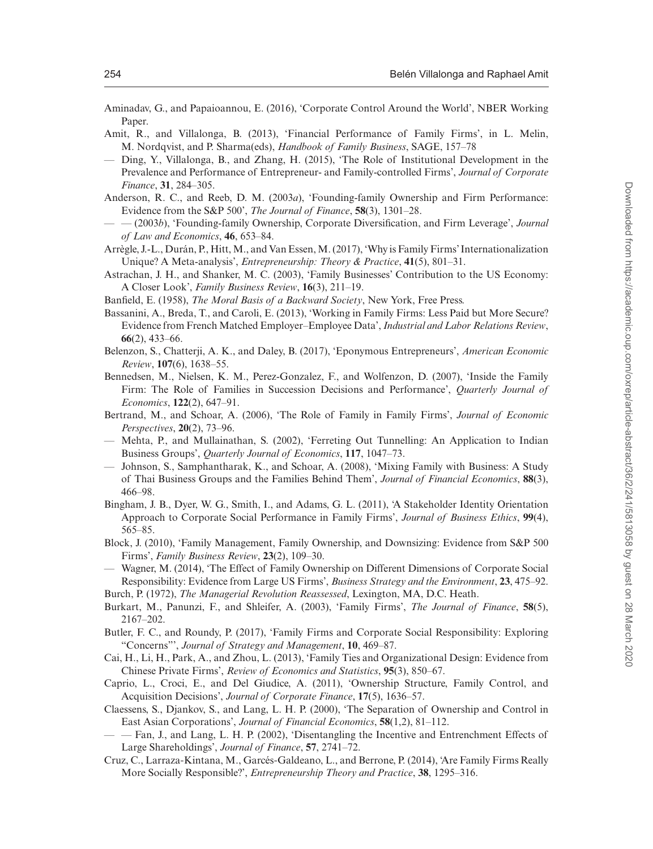- <span id="page-13-6"></span>Aminadav, G., and Papaioannou, E. (2016), 'Corporate Control Around the World', NBER Working Paper.
- <span id="page-13-4"></span>Amit, R., and Villalonga, B. (2013), 'Financial Performance of Family Firms', in L. Melin, M. Nordqvist, and P. Sharma(eds), *Handbook of Family Business*, SAGE, 157–78
- <span id="page-13-14"></span>— Ding, Y., Villalonga, B., and Zhang, H. (2015), 'The Role of Institutional Development in the Prevalence and Performance of Entrepreneur- and Family-controlled Firms', *Journal of Corporate Finance*, **31**, 284–305.
- <span id="page-13-2"></span>Anderson, R. C., and Reeb, D. M. (2003*a*), 'Founding-family Ownership and Firm Performance: Evidence from the S&P 500', *The Journal of Finance*, **58**(3), 1301–28.
- <span id="page-13-21"></span>— — (2003*b*), 'Founding-family Ownership, Corporate Diversification, and Firm Leverage', *Journal of Law and Economics*, **46**, 653–84.
- <span id="page-13-22"></span>Arrègle, J.-L., Durán, P., Hitt, M., and Van Essen, M. (2017), 'Why is Family Firms' Internationalization Unique? A Meta-analysis', *Entrepreneurship: Theory & Practice*, **41**(5), 801–31.
- <span id="page-13-7"></span>Astrachan, J. H., and Shanker, M. C. (2003), 'Family Businesses' Contribution to the US Economy: A Closer Look', *Family Business Review*, **16**(3), 211–19.
- <span id="page-13-13"></span>Banfield, E. (1958), *The Moral Basis of a Backward Society*, New York, Free Press.
- <span id="page-13-12"></span>Bassanini, A., Breda, T., and Caroli, E. (2013), 'Working in Family Firms: Less Paid but More Secure? Evidence from French Matched Employer–Employee Data', *Industrial and Labor Relations Review*, **66**(2), 433–66.
- <span id="page-13-15"></span>Belenzon, S., Chatterji, A. K., and Daley, B. (2017), 'Eponymous Entrepreneurs', *American Economic Review*, **107**(6), 1638–55.
- <span id="page-13-8"></span>Bennedsen, M., Nielsen, K. M., Perez-Gonzalez, F., and Wolfenzon, D. (2007), 'Inside the Family Firm: The Role of Families in Succession Decisions and Performance', *Quarterly Journal of Economics*, **122**(2), 647–91.
- <span id="page-13-9"></span>Bertrand, M., and Schoar, A. (2006), 'The Role of Family in Family Firms', *Journal of Economic Perspectives*, **20**(2), 73–96.
- <span id="page-13-10"></span>Mehta, P., and Mullainathan, S. (2002), 'Ferreting Out Tunnelling: An Application to Indian Business Groups', *Quarterly Journal of Economics*, **117**, 1047–73.
- <span id="page-13-11"></span>— Johnson, S., Samphantharak, K., and Schoar, A. (2008), 'Mixing Family with Business: A Study of Thai Business Groups and the Families Behind Them', *Journal of Financial Economics*, **88**(3), 466–98.
- <span id="page-13-17"></span>Bingham, J. B., Dyer, W. G., Smith, I., and Adams, G. L. (2011), 'A Stakeholder Identity Orientation Approach to Corporate Social Performance in Family Firms', *Journal of Business Ethics*, **99**(4), 565–85.
- <span id="page-13-20"></span>Block, J. (2010), 'Family Management, Family Ownership, and Downsizing: Evidence from S&P 500 Firms', *Family Business Review*, **23**(2), 109–30.
- <span id="page-13-18"></span>— Wagner, M. (2014), 'The Effect of Family Ownership on Different Dimensions of Corporate Social Responsibility: Evidence from Large US Firms', *Business Strategy and the Environment*, **23**, 475–92. Burch, P. (1972), *The Managerial Revolution Reassessed*, Lexington, MA, D.C. Heath.
- <span id="page-13-5"></span><span id="page-13-0"></span>Burkart, M., Panunzi, F., and Shleifer, A. (2003), 'Family Firms', *The Journal of Finance*, **58**(5),

2167–202.

- <span id="page-13-16"></span>Butler, F. C., and Roundy, P. (2017), 'Family Firms and Corporate Social Responsibility: Exploring "Concerns"', *Journal of Strategy and Management*, **10**, 469–87.
- <span id="page-13-24"></span>Cai, H., Li, H., Park, A., and Zhou, L. (2013), 'Family Ties and Organizational Design: Evidence from Chinese Private Firms', *Review of Economics and Statistics*, **95**(3), 850–67.
- <span id="page-13-23"></span>Caprio, L., Croci, E., and Del Giudice, A. (2011), 'Ownership Structure, Family Control, and Acquisition Decisions', *Journal of Corporate Finance*, **17**(5), 1636–57.
- <span id="page-13-1"></span>Claessens, S., Djankov, S., and Lang, L. H. P. (2000), 'The Separation of Ownership and Control in East Asian Corporations', *Journal of Financial Economics*, **58**(1,2), 81–112.
- <span id="page-13-3"></span>— — Fan, J., and Lang, L. H. P. (2002), 'Disentangling the Incentive and Entrenchment Effects of Large Shareholdings', *Journal of Finance*, **57**, 2741–72.
- <span id="page-13-19"></span>Cruz, C., Larraza‐Kintana, M., Garcés‐Galdeano, L., and Berrone, P. (2014), 'Are Family Firms Really More Socially Responsible?', *Entrepreneurship Theory and Practice*, **38**, 1295–316.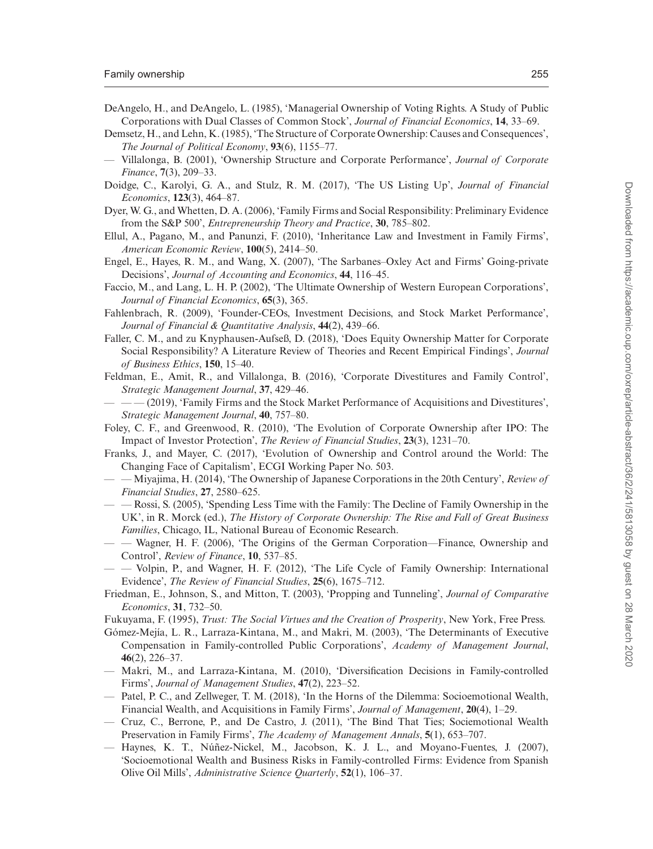- <span id="page-14-5"></span>DeAngelo, H., and DeAngelo, L. (1985), 'Managerial Ownership of Voting Rights. A Study of Public Corporations with Dual Classes of Common Stock', *Journal of Financial Economics*, **14**, 33–69.
- <span id="page-14-15"></span>Demsetz, H., and Lehn, K. (1985), 'The Structure of Corporate Ownership: Causes and Consequences', *The Journal of Political Economy*, **93**(6), 1155–77.
- <span id="page-14-16"></span>— Villalonga, B. (2001), 'Ownership Structure and Corporate Performance', *Journal of Corporate Finance*, **7**(3), 209–33.
- <span id="page-14-2"></span>Doidge, C., Karolyi, G. A., and Stulz, R. M. (2017), 'The US Listing Up', *Journal of Financial Economics*, **123**(3), 464–87.
- <span id="page-14-19"></span>Dyer, W. G., and Whetten, D. A. (2006), 'Family Firms and Social Responsibility: Preliminary Evidence from the S&P 500', *Entrepreneurship Theory and Practice*, **30**, 785–802.
- <span id="page-14-24"></span>Ellul, A., Pagano, M., and Panunzi, F. (2010), 'Inheritance Law and Investment in Family Firms', *American Economic Review*, **100**(5), 2414–50.
- <span id="page-14-3"></span>Engel, E., Hayes, R. M., and Wang, X. (2007), 'The Sarbanes–Oxley Act and Firms' Going-private Decisions', *Journal of Accounting and Economics*, **44**, 116–45.
- <span id="page-14-0"></span>Faccio, M., and Lang, L. H. P. (2002), 'The Ultimate Ownership of Western European Corporations', *Journal of Financial Economics*, **65**(3), 365.
- <span id="page-14-17"></span>Fahlenbrach, R. (2009), 'Founder-CEOs, Investment Decisions, and Stock Market Performance', *Journal of Financial & Quantitative Analysis*, **44**(2), 439–66.
- <span id="page-14-18"></span>Faller, C. M., and zu Knyphausen-Aufseß, D. (2018), 'Does Equity Ownership Matter for Corporate Social Responsibility? A Literature Review of Theories and Recent Empirical Findings', *Journal of Business Ethics*, **150**, 15–40.
- <span id="page-14-22"></span>Feldman, E., Amit, R., and Villalonga, B. (2016), 'Corporate Divestitures and Family Control', *Strategic Management Journal*, **37**, 429–46.
- <span id="page-14-20"></span>— — — (2019), 'Family Firms and the Stock Market Performance of Acquisitions and Divestitures', *Strategic Management Journal*, **40**, 757–80.
- <span id="page-14-9"></span>Foley, C. F., and Greenwood, R. (2010), 'The Evolution of Corporate Ownership after IPO: The Impact of Investor Protection', *The Review of Financial Studies*, **23**(3), 1231–70.
- <span id="page-14-1"></span>Franks, J., and Mayer, C. (2017), 'Evolution of Ownership and Control around the World: The Changing Face of Capitalism', ECGI Working Paper No. 503.
- <span id="page-14-7"></span>— — Miyajima, H. (2014), 'The Ownership of Japanese Corporations in the 20th Century', *Review of Financial Studies*, **27**, 2580–625.
- <span id="page-14-8"></span>— — Rossi, S. (2005), 'Spending Less Time with the Family: The Decline of Family Ownership in the UK', in R. Morck (ed.), *The History of Corporate Ownership: The Rise and Fall of Great Business Families*, Chicago, IL, National Bureau of Economic Research.
- <span id="page-14-6"></span>— — Wagner, H. F. (2006), 'The Origins of the German Corporation—Finance, Ownership and Control', *Review of Finance*, **10**, 537–85.
- <span id="page-14-4"></span>— — Volpin, P., and Wagner, H. F. (2012), 'The Life Cycle of Family Ownership: International Evidence', *The Review of Financial Studies*, **25**(6), 1675–712.
- <span id="page-14-13"></span>Friedman, E., Johnson, S., and Mitton, T. (2003), 'Propping and Tunneling', *Journal of Comparative Economics*, **31**, 732–50.
- <span id="page-14-14"></span>Fukuyama, F. (1995), *Trust: The Social Virtues and the Creation of Prosperity*, New York, Free Press.
- <span id="page-14-23"></span>Gómez-Mejía, L. R., Larraza-Kintana, M., and Makri, M. (2003), 'The Determinants of Executive Compensation in Family-controlled Public Corporations', *Academy of Management Journal*, **46**(2), 226–37.
- <span id="page-14-11"></span>— Makri, M., and Larraza-Kintana, M. (2010), 'Diversification Decisions in Family-controlled Firms', *Journal of Management Studies*, **47**(2), 223–52.
- <span id="page-14-21"></span>— Patel, P. C., and Zellweger, T. M. (2018), 'In the Horns of the Dilemma: Socioemotional Wealth, Financial Wealth, and Acquisitions in Family Firms', *Journal of Management*, **20**(4), 1–29.
- <span id="page-14-12"></span>— Cruz, C., Berrone, P., and De Castro, J. (2011), 'The Bind That Ties; Sociemotional Wealth Preservation in Family Firms', *The Academy of Management Annals*, **5**(1), 653–707.
- <span id="page-14-10"></span>— Haynes, K. T., Núñez-Nickel, M., Jacobson, K. J. L., and Moyano-Fuentes, J. (2007), 'Socioemotional Wealth and Business Risks in Family-controlled Firms: Evidence from Spanish Olive Oil Mills', *Administrative Science Quarterly*, **52**(1), 106–37.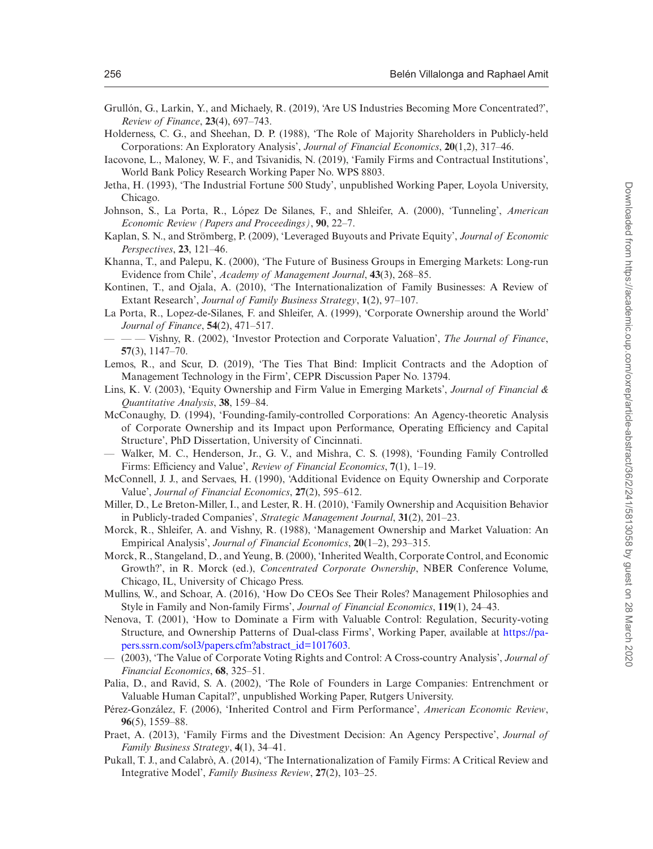- <span id="page-15-1"></span>Grullón, G., Larkin, Y., and Michaely, R. (2019), 'Are US Industries Becoming More Concentrated?', *Review of Finance*, **23**(4), 697–743.
- <span id="page-15-11"></span>Holderness, C. G., and Sheehan, D. P. (1988), 'The Role of Majority Shareholders in Publicly-held Corporations: An Exploratory Analysis', *Journal of Financial Economics*, **20**(1,2), 317–46.
- <span id="page-15-10"></span>Iacovone, L., Maloney, W. F., and Tsivanidis, N. (2019), 'Family Firms and Contractual Institutions', World Bank Policy Research Working Paper No. WPS 8803.
- <span id="page-15-4"></span>Jetha, H. (1993), 'The Industrial Fortune 500 Study', unpublished Working Paper, Loyola University, Chicago.
- <span id="page-15-8"></span>Johnson, S., La Porta, R., López De Silanes, F., and Shleifer, A. (2000), 'Tunneling', *American Economic Review (Papers and Proceedings)*, **90**, 22–7.
- <span id="page-15-2"></span>Kaplan, S. N., and Strömberg, P. (2009), 'Leveraged Buyouts and Private Equity', *Journal of Economic Perspectives*, **23**, 121–46.
- <span id="page-15-6"></span>Khanna, T., and Palepu, K. (2000), 'The Future of Business Groups in Emerging Markets: Long-run Evidence from Chile', *Academy of Management Journal*, **43**(3), 268–85.
- <span id="page-15-20"></span>Kontinen, T., and Ojala, A. (2010), 'The Internationalization of Family Businesses: A Review of Extant Research', *Journal of Family Business Strategy*, **1**(2), 97–107.
- <span id="page-15-0"></span>La Porta, R., Lopez-de-Silanes, F. and Shleifer, A. (1999), 'Corporate Ownership around the World' *Journal of Finance*, **54**(2), 471–517.
- <span id="page-15-16"></span>— — — Vishny, R. (2002), 'Investor Protection and Corporate Valuation', *The Journal of Finance*, **57**(3), 1147–70.
- <span id="page-15-7"></span>Lemos, R., and Scur, D. (2019), 'The Ties That Bind: Implicit Contracts and the Adoption of Management Technology in the Firm', CEPR Discussion Paper No. 13794.
- <span id="page-15-17"></span>Lins, K. V. (2003), 'Equity Ownership and Firm Value in Emerging Markets', *Journal of Financial & Quantitative Analysis*, **38**, 159–84.
- <span id="page-15-3"></span>McConaughy, D. (1994), 'Founding-family-controlled Corporations: An Agency-theoretic Analysis of Corporate Ownership and its Impact upon Performance, Operating Efficiency and Capital Structure', PhD Dissertation, University of Cincinnati.
- <span id="page-15-13"></span>— Walker, M. C., Henderson, Jr., G. V., and Mishra, C. S. (1998), 'Founding Family Controlled Firms: Efficiency and Value', *Review of Financial Economics*, **7**(1), 1–19.
- <span id="page-15-14"></span>McConnell, J. J., and Servaes, H. (1990), 'Additional Evidence on Equity Ownership and Corporate Value', *Journal of Financial Economics*, **27**(2), 595–612.
- <span id="page-15-22"></span>Miller, D., Le Breton-Miller, I., and Lester, R. H. (2010), 'Family Ownership and Acquisition Behavior in Publicly-traded Companies', *Strategic Management Journal*, **31**(2), 201–23.
- <span id="page-15-12"></span>Morck, R., Shleifer, A. and Vishny, R. (1988), 'Management Ownership and Market Valuation: An Empirical Analysis', *Journal of Financial Economics*, **20**(1–2), 293–315.
- <span id="page-15-9"></span>Morck, R., Stangeland, D., and Yeung, B. (2000), 'Inherited Wealth, Corporate Control, and Economic Growth?', in R. Morck (ed.), *Concentrated Corporate Ownership*, NBER Conference Volume, Chicago, IL, University of Chicago Press.
- <span id="page-15-24"></span>Mullins, W., and Schoar, A. (2016), 'How Do CEOs See Their Roles? Management Philosophies and Style in Family and Non-family Firms', *Journal of Financial Economics*, **119**(1), 24–43.
- <span id="page-15-5"></span>Nenova, T. (2001), 'How to Dominate a Firm with Valuable Control: Regulation, Security-voting Structure, and Ownership Patterns of Dual-class Firms', Working Paper, available at [https://pa](https://papers.ssrn.com/sol3/papers.cfm?abstract_id=1017603)[pers.ssrn.com/sol3/papers.cfm?abstract\\_id=1017603](https://papers.ssrn.com/sol3/papers.cfm?abstract_id=1017603).
- <span id="page-15-18"></span>— (2003), 'The Value of Corporate Voting Rights and Control: A Cross-country Analysis', *Journal of Financial Economics*, **68**, 325–51.
- <span id="page-15-15"></span>Palia, D., and Ravid, S. A. (2002), 'The Role of Founders in Large Companies: Entrenchment or Valuable Human Capital?', unpublished Working Paper, Rutgers University.
- <span id="page-15-19"></span>Pérez-González, F. (2006), 'Inherited Control and Firm Performance', *American Economic Review*, **96**(5), 1559–88.
- <span id="page-15-23"></span>Praet, A. (2013), 'Family Firms and the Divestment Decision: An Agency Perspective', *Journal of Family Business Strategy*, **4**(1), 34–41.
- <span id="page-15-21"></span>Pukall, T. J., and Calabrò, A. (2014), 'The Internationalization of Family Firms: A Critical Review and Integrative Model', *Family Business Review*, **27**(2), 103–25.